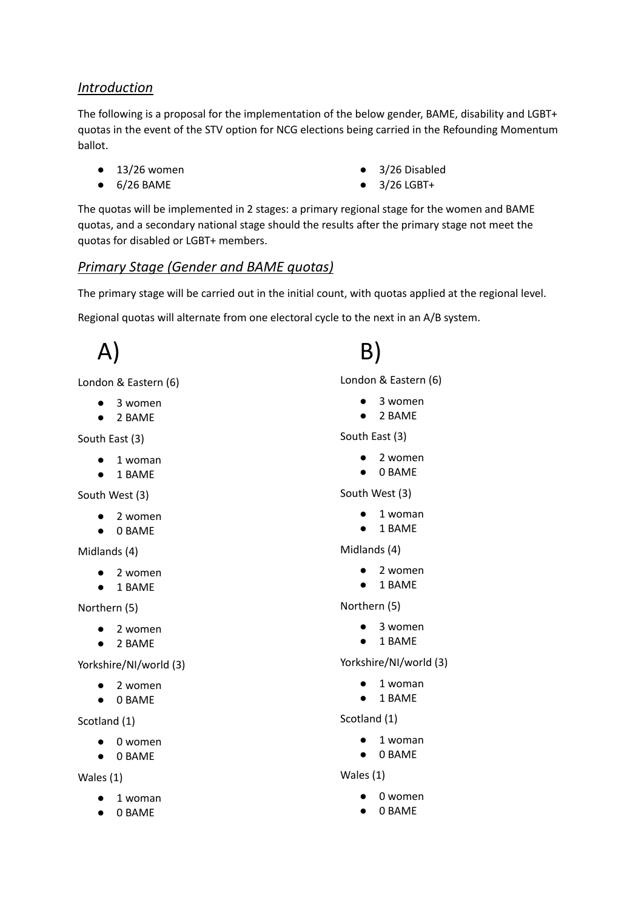### *Introduction*

The following is a proposal for the implementation of the below gender, BAME, disability and LGBT+ quotas in the event of the STV option for NCG elections being carried in the Refounding Momentum ballot.

- $\bullet$  13/26 women
- 6/26 BAME
- 3/26 Disabled
- 3/26 LGBT+

The quotas will be implemented in 2 stages: a primary regional stage for the women and BAME quotas, and a secondary national stage should the results after the primary stage not meet the quotas for disabled or LGBT+ members.

## *Primary Stage (Gender and BAME quotas)*

The primary stage will be carried out in the initial count, with quotas applied at the regional level.

Regional quotas will alternate from one electoral cycle to the next in an A/B system.

London & Eastern (6)

- 3 women
- 2 BAME

South East (3)

A)

- 1 woman
- 1 BAME

South West (3)

- 2 women
- 0 BAME

Midlands (4)

- 2 women
- 1 BAME

Northern (5)

- 2 women
- 2 BAME

Yorkshire/NI/world (3)

- 2 women
- 0 BAME

Scotland (1)

- 0 women
- 0 BAME

#### Wales (1)

- 1 woman
- 0 BAME

B)

London & Eastern (6)

- 3 women
- 2 BAME

South East (3)

- 2 women
- 0 BAME

### South West (3)

- 1 woman
- 1 BAME

Midlands (4)

- 2 women
- 1 BAME

### Northern (5)

- 3 women
- 1 BAME

Yorkshire/NI/world (3)

- 1 woman
- 1 BAME

Scotland (1)

- 1 woman
- 0 BAME

### Wales (1)

- 0 women
- 0 BAME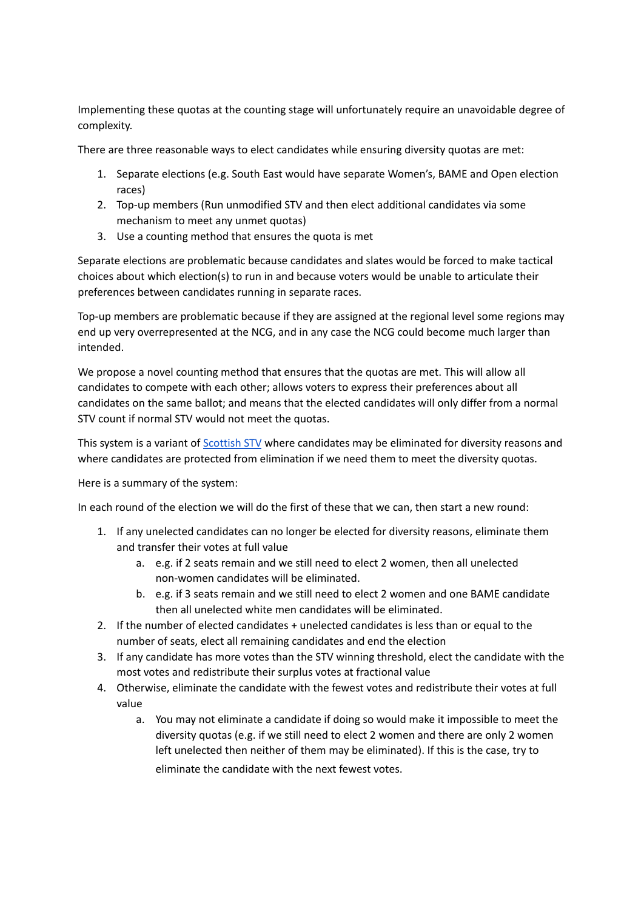Implementing these quotas at the counting stage will unfortunately require an unavoidable degree of complexity.

There are three reasonable ways to elect candidates while ensuring diversity quotas are met:

- 1. Separate elections (e.g. South East would have separate Women's, BAME and Open election races)
- 2. Top-up members (Run unmodified STV and then elect additional candidates via some mechanism to meet any unmet quotas)
- 3. Use a counting method that ensures the quota is met

Separate elections are problematic because candidates and slates would be forced to make tactical choices about which election(s) to run in and because voters would be unable to articulate their preferences between candidates running in separate races.

Top-up members are problematic because if they are assigned at the regional level some regions may end up very overrepresented at the NCG, and in any case the NCG could become much larger than intended.

We propose a novel counting method that ensures that the quotas are met. This will allow all candidates to compete with each other; allows voters to express their preferences about all candidates on the same ballot; and means that the elected candidates will only differ from a normal STV count if normal STV would not meet the quotas.

This system is a variant of [Scottish](https://blog.opavote.com/2016/11/plain-english-explanation-of-scottish.html) STV where candidates may be eliminated for diversity reasons and where candidates are protected from elimination if we need them to meet the diversity quotas.

Here is a summary of the system:

In each round of the election we will do the first of these that we can, then start a new round:

- 1. If any unelected candidates can no longer be elected for diversity reasons, eliminate them and transfer their votes at full value
	- a. e.g. if 2 seats remain and we still need to elect 2 women, then all unelected non-women candidates will be eliminated.
	- b. e.g. if 3 seats remain and we still need to elect 2 women and one BAME candidate then all unelected white men candidates will be eliminated.
- 2. If the number of elected candidates + unelected candidates is less than or equal to the number of seats, elect all remaining candidates and end the election
- 3. If any candidate has more votes than the STV winning threshold, elect the candidate with the most votes and redistribute their surplus votes at fractional value
- 4. Otherwise, eliminate the candidate with the fewest votes and redistribute their votes at full value
	- a. You may not eliminate a candidate if doing so would make it impossible to meet the diversity quotas (e.g. if we still need to elect 2 women and there are only 2 women left unelected then neither of them may be eliminated). If this is the case, try to eliminate the candidate with the next fewest votes.